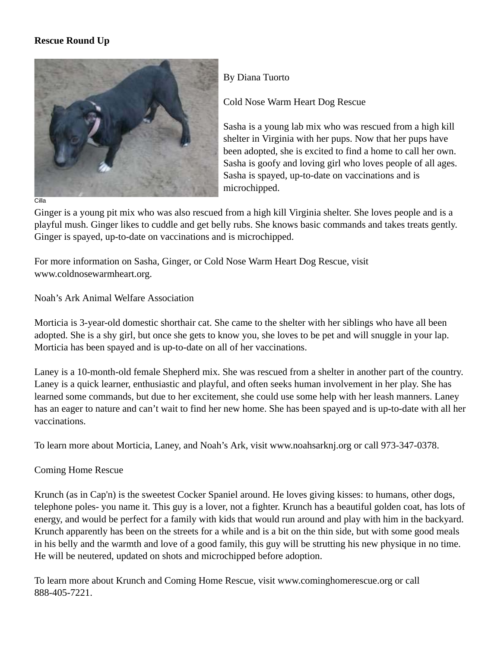## **Rescue Round Up**



By Diana Tuorto

Cold Nose Warm Heart Dog Rescue

Sasha is a young lab mix who was rescued from a high kill shelter in Virginia with her pups. Now that her pups have been adopted, she is excited to find a home to call her own. Sasha is goofy and loving girl who loves people of all ages. Sasha is spayed, up-to-date on vaccinations and is microchipped.

Ginger is a young pit mix who was also rescued from a high kill Virginia shelter. She loves people and is a playful mush. Ginger likes to cuddle and get belly rubs. She knows basic commands and takes treats gently. Ginger is spayed, up-to-date on vaccinations and is microchipped.

For more information on Sasha, Ginger, or Cold Nose Warm Heart Dog Rescue, visit www.coldnosewarmheart.org.

Noah's Ark Animal Welfare Association

Morticia is 3-year-old domestic shorthair cat. She came to the shelter with her siblings who have all been adopted. She is a shy girl, but once she gets to know you, she loves to be pet and will snuggle in your lap. Morticia has been spayed and is up-to-date on all of her vaccinations.

Laney is a 10-month-old female Shepherd mix. She was rescued from a shelter in another part of the country. Laney is a quick learner, enthusiastic and playful, and often seeks human involvement in her play. She has learned some commands, but due to her excitement, she could use some help with her leash manners. Laney has an eager to nature and can't wait to find her new home. She has been spayed and is up-to-date with all her vaccinations.

To learn more about Morticia, Laney, and Noah's Ark, visit www.noahsarknj.org or call 973-347-0378.

Coming Home Rescue

Krunch (as in Cap'n) is the sweetest Cocker Spaniel around. He loves giving kisses: to humans, other dogs, telephone poles- you name it. This guy is a lover, not a fighter. Krunch has a beautiful golden coat, has lots of energy, and would be perfect for a family with kids that would run around and play with him in the backyard. Krunch apparently has been on the streets for a while and is a bit on the thin side, but with some good meals in his belly and the warmth and love of a good family, this guy will be strutting his new physique in no time. He will be neutered, updated on shots and microchipped before adoption.

To learn more about Krunch and Coming Home Rescue, visit www.cominghomerescue.org or call 888-405-7221.